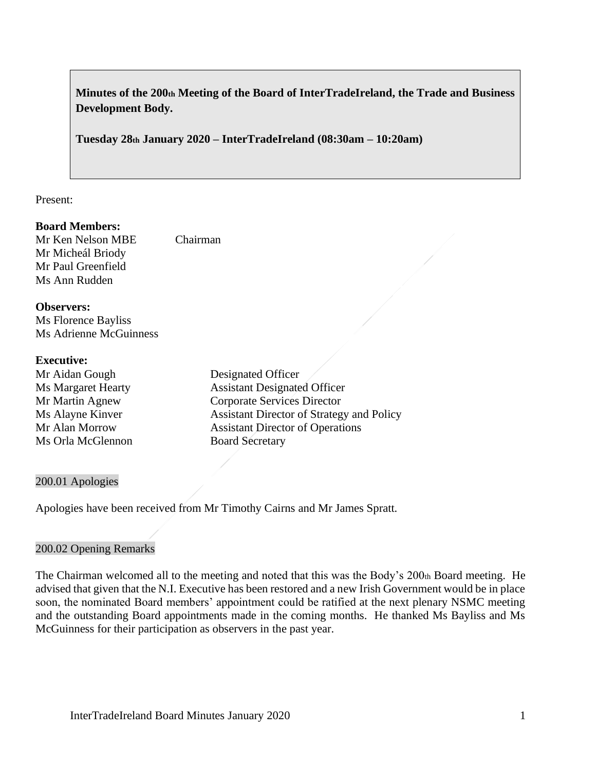**Minutes of the 200th Meeting of the Board of InterTradeIreland, the Trade and Business Development Body.**

**Tuesday 28th January 2020 – InterTradeIreland (08:30am – 10:20am)**

Present:

#### **Board Members:**

Mr Ken Nelson MBE Chairman Mr Micheál Briody Mr Paul Greenfield Ms Ann Rudden

**Observers:**

Ms Florence Bayliss Ms Adrienne McGuinness

#### **Executive:**

Mr Aidan Gough Designated Officer Ms Orla McGlennon Board Secretary

Ms Margaret Hearty **Assistant Designated Officer** Mr Martin Agnew Corporate Services Director Ms Alayne Kinver Assistant Director of Strategy and Policy Mr Alan Morrow Assistant Director of Operations

#### 200.01 Apologies

Apologies have been received from Mr Timothy Cairns and Mr James Spratt.

#### 200.02 Opening Remarks

The Chairman welcomed all to the meeting and noted that this was the Body's 200th Board meeting. He advised that given that the N.I. Executive has been restored and a new Irish Government would be in place soon, the nominated Board members' appointment could be ratified at the next plenary NSMC meeting and the outstanding Board appointments made in the coming months. He thanked Ms Bayliss and Ms McGuinness for their participation as observers in the past year.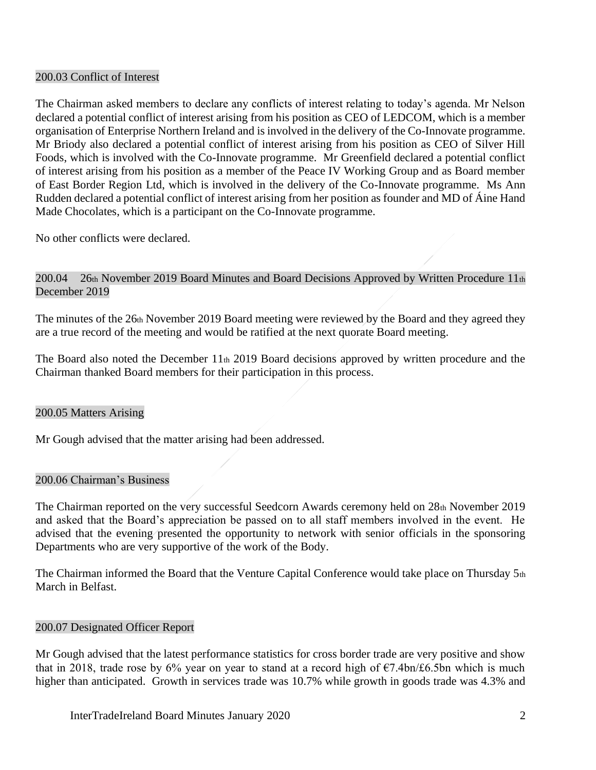### 200.03 Conflict of Interest

The Chairman asked members to declare any conflicts of interest relating to today's agenda. Mr Nelson declared a potential conflict of interest arising from his position as CEO of LEDCOM, which is a member organisation of Enterprise Northern Ireland and is involved in the delivery of the Co-Innovate programme. Mr Briody also declared a potential conflict of interest arising from his position as CEO of Silver Hill Foods, which is involved with the Co-Innovate programme. Mr Greenfield declared a potential conflict of interest arising from his position as a member of the Peace IV Working Group and as Board member of East Border Region Ltd, which is involved in the delivery of the Co-Innovate programme. Ms Ann Rudden declared a potential conflict of interest arising from her position as founder and MD of Áine Hand Made Chocolates, which is a participant on the Co-Innovate programme.

No other conflicts were declared.

## 200.04 26th November 2019 Board Minutes and Board Decisions Approved by Written Procedure 11th December 2019

The minutes of the 26th November 2019 Board meeting were reviewed by the Board and they agreed they are a true record of the meeting and would be ratified at the next quorate Board meeting.

The Board also noted the December 11th 2019 Board decisions approved by written procedure and the Chairman thanked Board members for their participation in this process.

#### 200.05 Matters Arising

Mr Gough advised that the matter arising had been addressed.

#### 200.06 Chairman's Business

The Chairman reported on the very successful Seedcorn Awards ceremony held on 28th November 2019 and asked that the Board's appreciation be passed on to all staff members involved in the event. He advised that the evening presented the opportunity to network with senior officials in the sponsoring Departments who are very supportive of the work of the Body.

The Chairman informed the Board that the Venture Capital Conference would take place on Thursday 5th March in Belfast.

#### 200.07 Designated Officer Report

Mr Gough advised that the latest performance statistics for cross border trade are very positive and show that in 2018, trade rose by 6% year on year to stand at a record high of  $\epsilon$ 7.4bn/£6.5bn which is much higher than anticipated. Growth in services trade was 10.7% while growth in goods trade was 4.3% and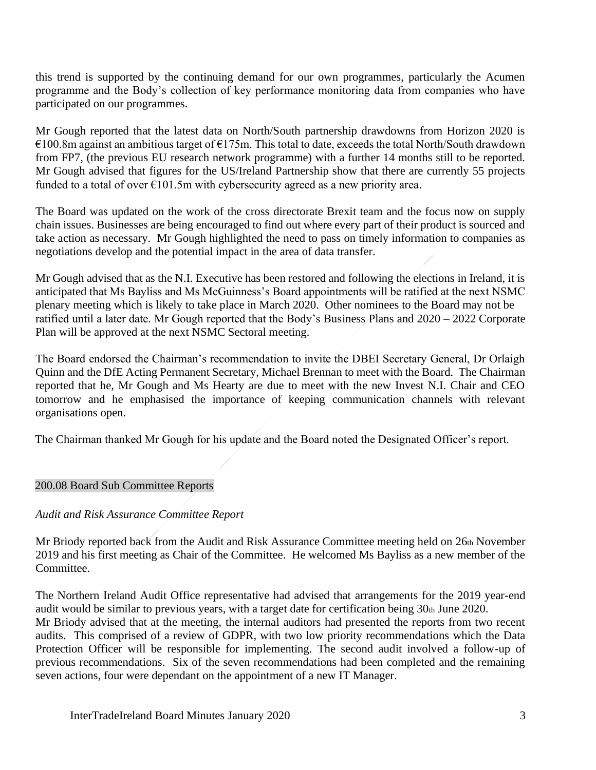this trend is supported by the continuing demand for our own programmes, particularly the Acumen programme and the Body's collection of key performance monitoring data from companies who have participated on our programmes.

Mr Gough reported that the latest data on North/South partnership drawdowns from Horizon 2020 is  $€100.8$ m against an ambitious target of  $€175$ m. This total to date, exceeds the total North/South drawdown from FP7, (the previous EU research network programme) with a further 14 months still to be reported. Mr Gough advised that figures for the US/Ireland Partnership show that there are currently 55 projects funded to a total of over  $\epsilon$ 101.5m with cybersecurity agreed as a new priority area.

The Board was updated on the work of the cross directorate Brexit team and the focus now on supply chain issues. Businesses are being encouraged to find out where every part of their product is sourced and take action as necessary. Mr Gough highlighted the need to pass on timely information to companies as negotiations develop and the potential impact in the area of data transfer.

Mr Gough advised that as the N.I. Executive has been restored and following the elections in Ireland, it is anticipated that Ms Bayliss and Ms McGuinness's Board appointments will be ratified at the next NSMC plenary meeting which is likely to take place in March 2020. Other nominees to the Board may not be ratified until a later date. Mr Gough reported that the Body's Business Plans and 2020 – 2022 Corporate Plan will be approved at the next NSMC Sectoral meeting.

The Board endorsed the Chairman's recommendation to invite the DBEI Secretary General, Dr Orlaigh Quinn and the DfE Acting Permanent Secretary, Michael Brennan to meet with the Board. The Chairman reported that he, Mr Gough and Ms Hearty are due to meet with the new Invest N.I. Chair and CEO tomorrow and he emphasised the importance of keeping communication channels with relevant organisations open.

The Chairman thanked Mr Gough for his update and the Board noted the Designated Officer's report.

#### 200.08 Board Sub Committee Reports

## *Audit and Risk Assurance Committee Report*

Mr Briody reported back from the Audit and Risk Assurance Committee meeting held on 26th November 2019 and his first meeting as Chair of the Committee. He welcomed Ms Bayliss as a new member of the Committee.

The Northern Ireland Audit Office representative had advised that arrangements for the 2019 year-end audit would be similar to previous years, with a target date for certification being 30th June 2020.

Mr Briody advised that at the meeting, the internal auditors had presented the reports from two recent audits. This comprised of a review of GDPR, with two low priority recommendations which the Data Protection Officer will be responsible for implementing. The second audit involved a follow-up of previous recommendations. Six of the seven recommendations had been completed and the remaining seven actions, four were dependant on the appointment of a new IT Manager.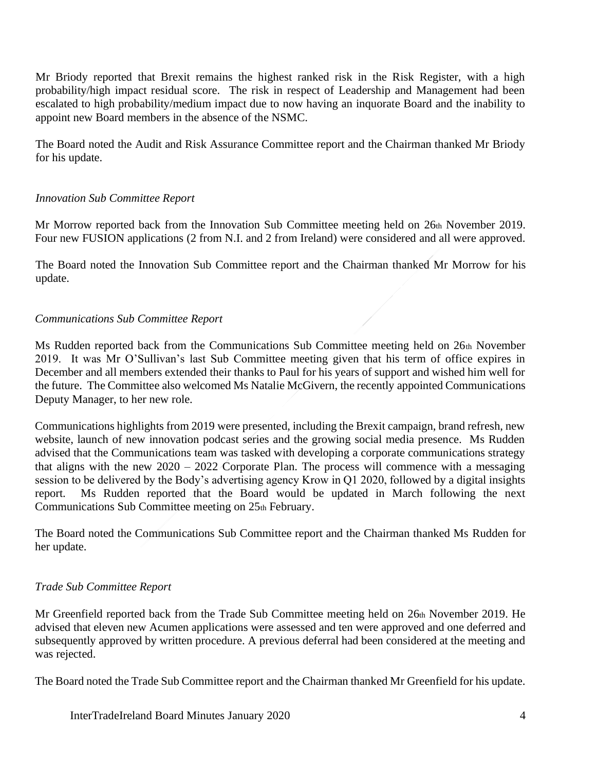Mr Briody reported that Brexit remains the highest ranked risk in the Risk Register, with a high probability/high impact residual score. The risk in respect of Leadership and Management had been escalated to high probability/medium impact due to now having an inquorate Board and the inability to appoint new Board members in the absence of the NSMC.

The Board noted the Audit and Risk Assurance Committee report and the Chairman thanked Mr Briody for his update.

## *Innovation Sub Committee Report*

Mr Morrow reported back from the Innovation Sub Committee meeting held on 26th November 2019. Four new FUSION applications (2 from N.I. and 2 from Ireland) were considered and all were approved.

The Board noted the Innovation Sub Committee report and the Chairman thanked Mr Morrow for his update.

## *Communications Sub Committee Report*

Ms Rudden reported back from the Communications Sub Committee meeting held on 26th November 2019. It was Mr O'Sullivan's last Sub Committee meeting given that his term of office expires in December and all members extended their thanks to Paul for his years of support and wished him well for the future. The Committee also welcomed Ms Natalie McGivern, the recently appointed Communications Deputy Manager, to her new role.

Communications highlights from 2019 were presented, including the Brexit campaign, brand refresh, new website, launch of new innovation podcast series and the growing social media presence. Ms Rudden advised that the Communications team was tasked with developing a corporate communications strategy that aligns with the new  $2020 - 2022$  Corporate Plan. The process will commence with a messaging session to be delivered by the Body's advertising agency Krow in Q1 2020, followed by a digital insights report. Ms Rudden reported that the Board would be updated in March following the next Communications Sub Committee meeting on 25th February.

The Board noted the Communications Sub Committee report and the Chairman thanked Ms Rudden for her update.

## *Trade Sub Committee Report*

Mr Greenfield reported back from the Trade Sub Committee meeting held on 26th November 2019. He advised that eleven new Acumen applications were assessed and ten were approved and one deferred and subsequently approved by written procedure. A previous deferral had been considered at the meeting and was rejected.

The Board noted the Trade Sub Committee report and the Chairman thanked Mr Greenfield for his update.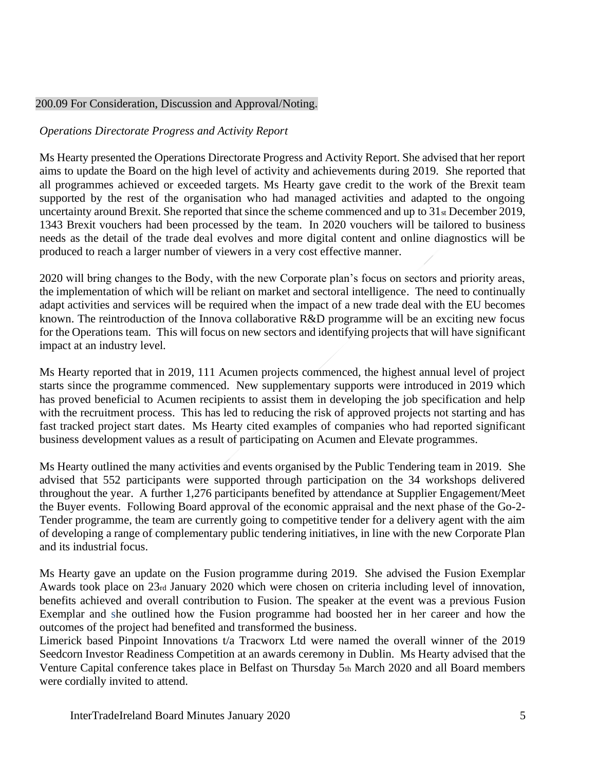## 200.09 For Consideration, Discussion and Approval/Noting.

# *Operations Directorate Progress and Activity Report*

Ms Hearty presented the Operations Directorate Progress and Activity Report. She advised that her report aims to update the Board on the high level of activity and achievements during 2019. She reported that all programmes achieved or exceeded targets. Ms Hearty gave credit to the work of the Brexit team supported by the rest of the organisation who had managed activities and adapted to the ongoing uncertainty around Brexit. She reported that since the scheme commenced and up to 31<sub>st</sub> December 2019, 1343 Brexit vouchers had been processed by the team. In 2020 vouchers will be tailored to business needs as the detail of the trade deal evolves and more digital content and online diagnostics will be produced to reach a larger number of viewers in a very cost effective manner.

2020 will bring changes to the Body, with the new Corporate plan's focus on sectors and priority areas, the implementation of which will be reliant on market and sectoral intelligence. The need to continually adapt activities and services will be required when the impact of a new trade deal with the EU becomes known. The reintroduction of the Innova collaborative R&D programme will be an exciting new focus for the Operations team. This will focus on new sectors and identifying projects that will have significant impact at an industry level.

Ms Hearty reported that in 2019, 111 Acumen projects commenced, the highest annual level of project starts since the programme commenced. New supplementary supports were introduced in 2019 which has proved beneficial to Acumen recipients to assist them in developing the job specification and help with the recruitment process. This has led to reducing the risk of approved projects not starting and has fast tracked project start dates. Ms Hearty cited examples of companies who had reported significant business development values as a result of participating on Acumen and Elevate programmes.

Ms Hearty outlined the many activities and events organised by the Public Tendering team in 2019. She advised that 552 participants were supported through participation on the 34 workshops delivered throughout the year. A further 1,276 participants benefited by attendance at Supplier Engagement/Meet the Buyer events. Following Board approval of the economic appraisal and the next phase of the Go-2- Tender programme, the team are currently going to competitive tender for a delivery agent with the aim of developing a range of complementary public tendering initiatives, in line with the new Corporate Plan and its industrial focus.

Ms Hearty gave an update on the Fusion programme during 2019. She advised the Fusion Exemplar Awards took place on 23rd January 2020 which were chosen on criteria including level of innovation, benefits achieved and overall contribution to Fusion. The speaker at the event was a previous Fusion Exemplar and she outlined how the Fusion programme had boosted her in her career and how the outcomes of the project had benefited and transformed the business.

Limerick based Pinpoint Innovations t/a Tracworx Ltd were named the overall winner of the 2019 Seedcorn Investor Readiness Competition at an awards ceremony in Dublin. Ms Hearty advised that the Venture Capital conference takes place in Belfast on Thursday 5th March 2020 and all Board members were cordially invited to attend.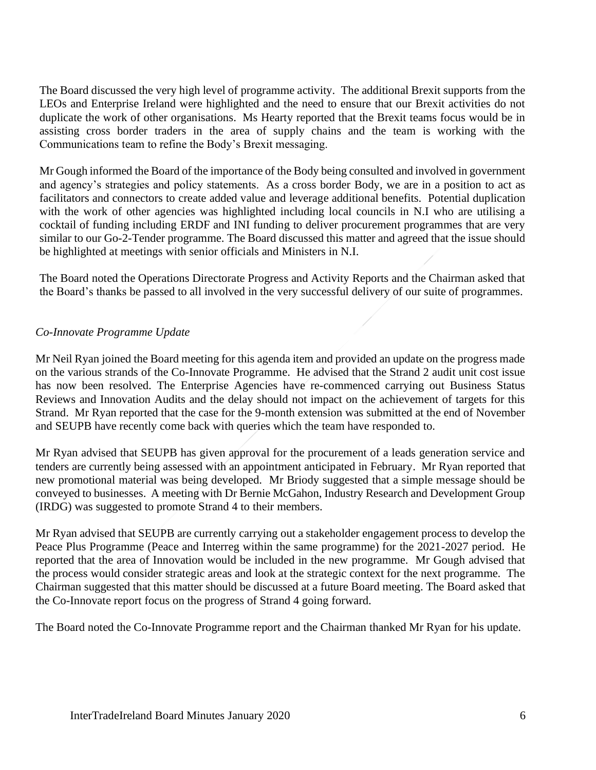The Board discussed the very high level of programme activity. The additional Brexit supports from the LEOs and Enterprise Ireland were highlighted and the need to ensure that our Brexit activities do not duplicate the work of other organisations. Ms Hearty reported that the Brexit teams focus would be in assisting cross border traders in the area of supply chains and the team is working with the Communications team to refine the Body's Brexit messaging.

Mr Gough informed the Board of the importance of the Body being consulted and involved in government and agency's strategies and policy statements. As a cross border Body, we are in a position to act as facilitators and connectors to create added value and leverage additional benefits. Potential duplication with the work of other agencies was highlighted including local councils in N.I who are utilising a cocktail of funding including ERDF and INI funding to deliver procurement programmes that are very similar to our Go-2-Tender programme. The Board discussed this matter and agreed that the issue should be highlighted at meetings with senior officials and Ministers in N.I.

The Board noted the Operations Directorate Progress and Activity Reports and the Chairman asked that the Board's thanks be passed to all involved in the very successful delivery of our suite of programmes.

## *Co-Innovate Programme Update*

Mr Neil Ryan joined the Board meeting for this agenda item and provided an update on the progress made on the various strands of the Co-Innovate Programme. He advised that the Strand 2 audit unit cost issue has now been resolved. The Enterprise Agencies have re-commenced carrying out Business Status Reviews and Innovation Audits and the delay should not impact on the achievement of targets for this Strand. Mr Ryan reported that the case for the 9-month extension was submitted at the end of November and SEUPB have recently come back with queries which the team have responded to.

Mr Ryan advised that SEUPB has given approval for the procurement of a leads generation service and tenders are currently being assessed with an appointment anticipated in February. Mr Ryan reported that new promotional material was being developed. Mr Briody suggested that a simple message should be conveyed to businesses. A meeting with Dr Bernie McGahon, Industry Research and Development Group (IRDG) was suggested to promote Strand 4 to their members.

Mr Ryan advised that SEUPB are currently carrying out a stakeholder engagement process to develop the Peace Plus Programme (Peace and Interreg within the same programme) for the 2021-2027 period. He reported that the area of Innovation would be included in the new programme. Mr Gough advised that the process would consider strategic areas and look at the strategic context for the next programme. The Chairman suggested that this matter should be discussed at a future Board meeting. The Board asked that the Co-Innovate report focus on the progress of Strand 4 going forward.

The Board noted the Co-Innovate Programme report and the Chairman thanked Mr Ryan for his update.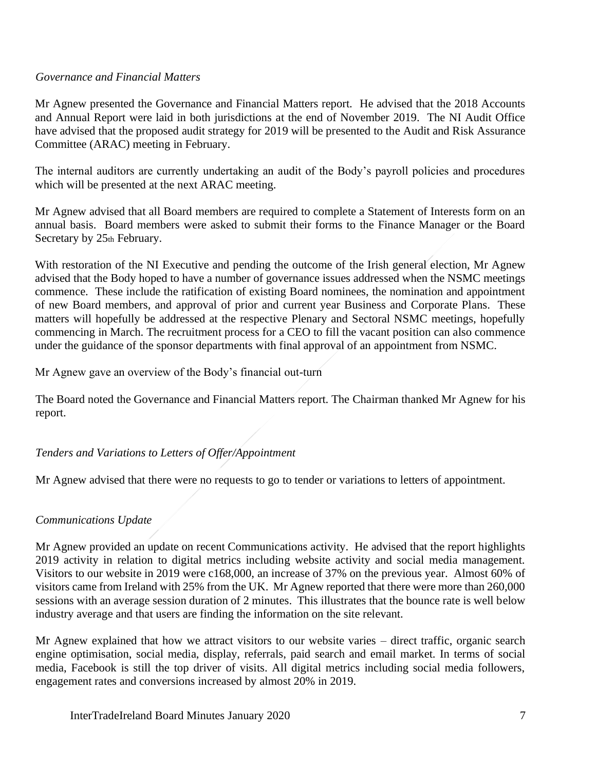## *Governance and Financial Matters*

Mr Agnew presented the Governance and Financial Matters report. He advised that the 2018 Accounts and Annual Report were laid in both jurisdictions at the end of November 2019. The NI Audit Office have advised that the proposed audit strategy for 2019 will be presented to the Audit and Risk Assurance Committee (ARAC) meeting in February.

The internal auditors are currently undertaking an audit of the Body's payroll policies and procedures which will be presented at the next ARAC meeting.

Mr Agnew advised that all Board members are required to complete a Statement of Interests form on an annual basis. Board members were asked to submit their forms to the Finance Manager or the Board Secretary by 25th February.

With restoration of the NI Executive and pending the outcome of the Irish general election, Mr Agnew advised that the Body hoped to have a number of governance issues addressed when the NSMC meetings commence. These include the ratification of existing Board nominees, the nomination and appointment of new Board members, and approval of prior and current year Business and Corporate Plans. These matters will hopefully be addressed at the respective Plenary and Sectoral NSMC meetings, hopefully commencing in March. The recruitment process for a CEO to fill the vacant position can also commence under the guidance of the sponsor departments with final approval of an appointment from NSMC.

Mr Agnew gave an overview of the Body's financial out-turn

The Board noted the Governance and Financial Matters report. The Chairman thanked Mr Agnew for his report.

## *Tenders and Variations to Letters of Offer/Appointment*

Mr Agnew advised that there were no requests to go to tender or variations to letters of appointment.

## *Communications Update*

Mr Agnew provided an update on recent Communications activity. He advised that the report highlights 2019 activity in relation to digital metrics including website activity and social media management. Visitors to our website in 2019 were c168,000, an increase of 37% on the previous year. Almost 60% of visitors came from Ireland with 25% from the UK. Mr Agnew reported that there were more than 260,000 sessions with an average session duration of 2 minutes. This illustrates that the bounce rate is well below industry average and that users are finding the information on the site relevant.

Mr Agnew explained that how we attract visitors to our website varies – direct traffic, organic search engine optimisation, social media, display, referrals, paid search and email market. In terms of social media, Facebook is still the top driver of visits. All digital metrics including social media followers, engagement rates and conversions increased by almost 20% in 2019.